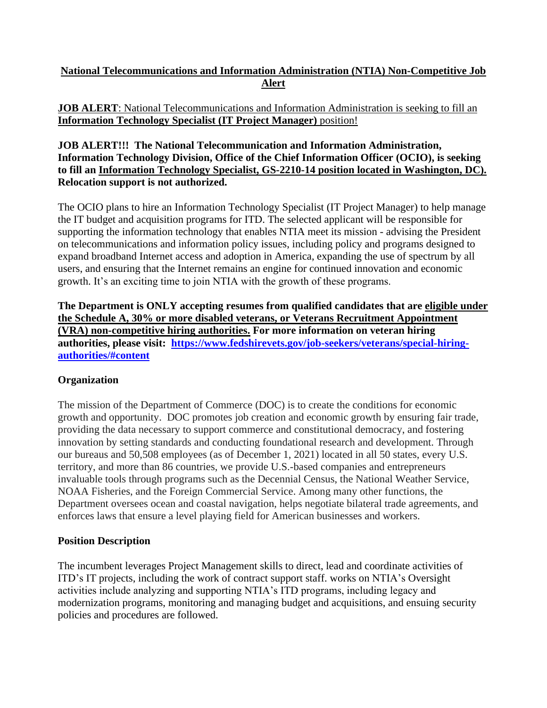# **National Telecommunications and Information Administration (NTIA) Non-Competitive Job Alert**

### **JOB ALERT:** National Telecommunications and Information Administration is seeking to fill an **Information Technology Specialist (IT Project Manager)** position!

#### **JOB ALERT!!! The National Telecommunication and Information Administration, Information Technology Division, Office of the Chief Information Officer (OCIO), is seeking to fill an Information Technology Specialist, GS-2210-14 position located in Washington, DC). Relocation support is not authorized.**

The OCIO plans to hire an Information Technology Specialist (IT Project Manager) to help manage the IT budget and acquisition programs for ITD. The selected applicant will be responsible for supporting the information technology that enables NTIA meet its mission - advising the President on telecommunications and information policy issues, including policy and programs designed to expand broadband Internet access and adoption in America, expanding the use of spectrum by all users, and ensuring that the Internet remains an engine for continued innovation and economic growth. It's an exciting time to join NTIA with the growth of these programs.

**The Department is ONLY accepting resumes from qualified candidates that are eligible under the Schedule A, 30% or more disabled veterans, or Veterans Recruitment Appointment (VRA) non-competitive hiring authorities. For more information on veteran hiring authorities, please visit: https://www.fedshirevets.gov/job-seekers/veterans/special-hiringauthorities/#content**

# **Organization**

The mission of the Department of Commerce (DOC) is to create the conditions for economic growth and opportunity. DOC promotes job creation and economic growth by ensuring fair trade, providing the data necessary to support commerce and constitutional democracy, and fostering innovation by setting standards and conducting foundational research and development. Through our bureaus and 50,508 employees (as of December 1, 2021) located in all 50 states, every U.S. territory, and more than 86 countries, we provide U.S.-based companies and entrepreneurs invaluable tools through programs such as the Decennial Census, the National Weather Service, NOAA Fisheries, and the Foreign Commercial Service. Among many other functions, the Department oversees ocean and coastal navigation, helps negotiate bilateral trade agreements, and enforces laws that ensure a level playing field for American businesses and workers.

# **Position Description**

The incumbent leverages Project Management skills to direct, lead and coordinate activities of ITD's IT projects, including the work of contract support staff. works on NTIA's Oversight activities include analyzing and supporting NTIA's ITD programs, including legacy and modernization programs, monitoring and managing budget and acquisitions, and ensuing security policies and procedures are followed.